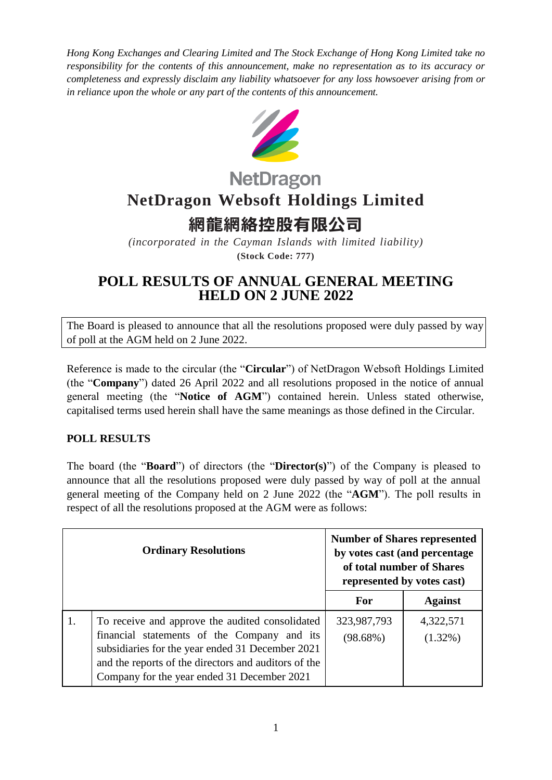*Hong Kong Exchanges and Clearing Limited and The Stock Exchange of Hong Kong Limited take no responsibility for the contents of this announcement, make no representation as to its accuracy or completeness and expressly disclaim any liability whatsoever for any loss howsoever arising from or in reliance upon the whole or any part of the contents of this announcement.*



## **NetDragon NetDragon Websoft Holdings Limited**

## **網龍網絡控股有限公司**

*(incorporated in the Cayman Islands with limited liability)* **(Stock Code: 777)**

## **POLL RESULTS OF ANNUAL GENERAL MEETING HELD ON 2 JUNE 2022**

The Board is pleased to announce that all the resolutions proposed were duly passed by way of poll at the AGM held on 2 June 2022.

Reference is made to the circular (the "**Circular**") of NetDragon Websoft Holdings Limited (the "**Company**") dated 26 April 2022 and all resolutions proposed in the notice of annual general meeting (the "**Notice of AGM**") contained herein. Unless stated otherwise, capitalised terms used herein shall have the same meanings as those defined in the Circular.

## **POLL RESULTS**

The board (the "**Board**") of directors (the "**Director(s)**") of the Company is pleased to announce that all the resolutions proposed were duly passed by way of poll at the annual general meeting of the Company held on 2 June 2022 (the "**AGM**"). The poll results in respect of all the resolutions proposed at the AGM were as follows:

| <b>Ordinary Resolutions</b> |                                                                                                                                                                                                                                                           | <b>Number of Shares represented</b><br>by votes cast (and percentage<br>of total number of Shares<br>represented by votes cast) |                         |
|-----------------------------|-----------------------------------------------------------------------------------------------------------------------------------------------------------------------------------------------------------------------------------------------------------|---------------------------------------------------------------------------------------------------------------------------------|-------------------------|
|                             |                                                                                                                                                                                                                                                           | For                                                                                                                             | <b>Against</b>          |
| 1.                          | To receive and approve the audited consolidated<br>financial statements of the Company and its<br>subsidiaries for the year ended 31 December 2021<br>and the reports of the directors and auditors of the<br>Company for the year ended 31 December 2021 | 323,987,793<br>$(98.68\%)$                                                                                                      | 4,322,571<br>$(1.32\%)$ |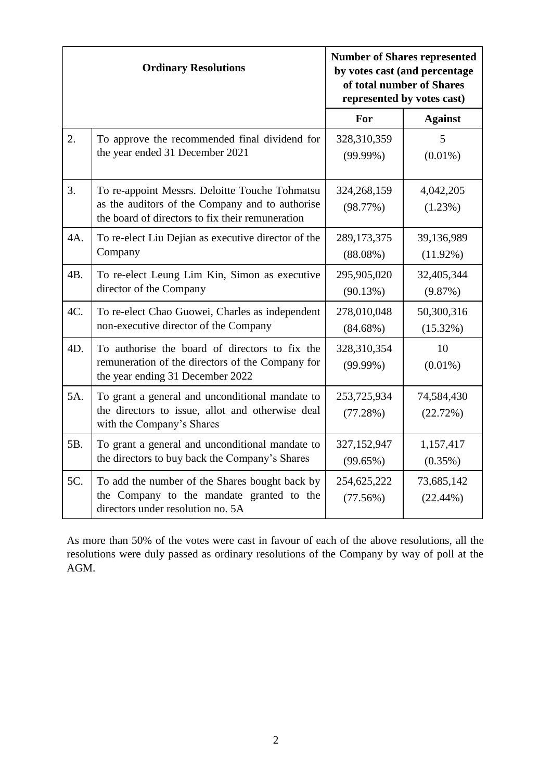| <b>Ordinary Resolutions</b> |                                                                                                                                                       | <b>Number of Shares represented</b><br>by votes cast (and percentage<br>of total number of Shares<br>represented by votes cast) |                           |
|-----------------------------|-------------------------------------------------------------------------------------------------------------------------------------------------------|---------------------------------------------------------------------------------------------------------------------------------|---------------------------|
|                             |                                                                                                                                                       | For                                                                                                                             | <b>Against</b>            |
| 2.                          | To approve the recommended final dividend for<br>the year ended 31 December 2021                                                                      | 328,310,359<br>$(99.99\%)$                                                                                                      | 5<br>$(0.01\%)$           |
| 3.                          | To re-appoint Messrs. Deloitte Touche Tohmatsu<br>as the auditors of the Company and to authorise<br>the board of directors to fix their remuneration | 324,268,159<br>(98.77%)                                                                                                         | 4,042,205<br>(1.23%)      |
| 4A.                         | To re-elect Liu Dejian as executive director of the<br>Company                                                                                        | 289,173,375<br>$(88.08\%)$                                                                                                      | 39,136,989<br>$(11.92\%)$ |
| 4B.                         | To re-elect Leung Lim Kin, Simon as executive<br>director of the Company                                                                              | 295,905,020<br>(90.13%)                                                                                                         | 32,405,344<br>(9.87%)     |
| 4C.                         | To re-elect Chao Guowei, Charles as independent<br>non-executive director of the Company                                                              | 278,010,048<br>$(84.68\%)$                                                                                                      | 50,300,316<br>(15.32%)    |
| 4D.                         | To authorise the board of directors to fix the<br>remuneration of the directors of the Company for<br>the year ending 31 December 2022                | 328,310,354<br>$(99.99\%)$                                                                                                      | 10<br>$(0.01\%)$          |
| 5A.                         | To grant a general and unconditional mandate to<br>the directors to issue, allot and otherwise deal<br>with the Company's Shares                      | 253,725,934<br>(77.28%)                                                                                                         | 74,584,430<br>(22.72%)    |
| 5B.                         | To grant a general and unconditional mandate to<br>the directors to buy back the Company's Shares                                                     | 327,152,947<br>(99.65%)                                                                                                         | 1,157,417<br>$(0.35\%)$   |
| 5C.                         | To add the number of the Shares bought back by<br>the Company to the mandate granted to the<br>directors under resolution no. 5A                      | 254,625,222<br>(77.56%)                                                                                                         | 73,685,142<br>$(22.44\%)$ |

As more than 50% of the votes were cast in favour of each of the above resolutions, all the resolutions were duly passed as ordinary resolutions of the Company by way of poll at the AGM.